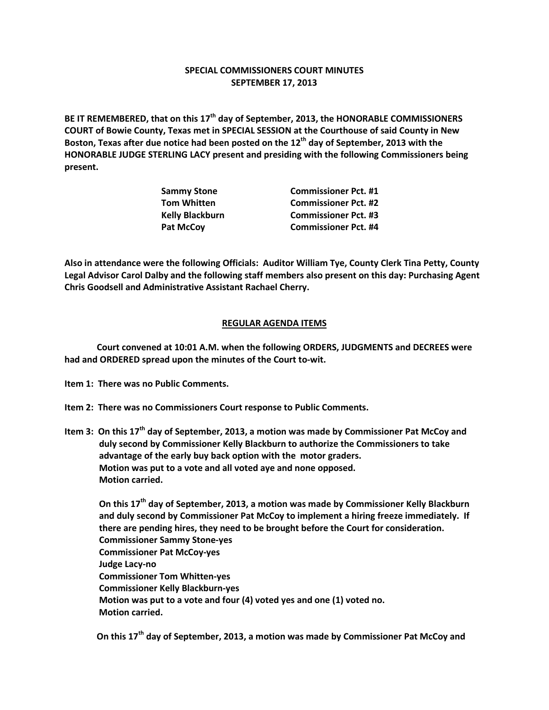## **SPECIAL COMMISSIONERS COURT MINUTES SEPTEMBER 17, 2013**

**BE IT REMEMBERED, that on this 17th day of September, 2013, the HONORABLE COMMISSIONERS COURT of Bowie County, Texas met in SPECIAL SESSION at the Courthouse of said County in New Boston, Texas after due notice had been posted on the 12th day of September, 2013 with the HONORABLE JUDGE STERLING LACY present and presiding with the following Commissioners being present.**

| Sammy Stone            | <b>Commissioner Pct. #1</b> |
|------------------------|-----------------------------|
| Tom Whitten            | <b>Commissioner Pct. #2</b> |
| <b>Kelly Blackburn</b> | <b>Commissioner Pct. #3</b> |
| Pat McCov              | <b>Commissioner Pct. #4</b> |
|                        |                             |

**Also in attendance were the following Officials: Auditor William Tye, County Clerk Tina Petty, County Legal Advisor Carol Dalby and the following staff members also present on this day: Purchasing Agent Chris Goodsell and Administrative Assistant Rachael Cherry.**

## **REGULAR AGENDA ITEMS**

**Court convened at 10:01 A.M. when the following ORDERS, JUDGMENTS and DECREES were had and ORDERED spread upon the minutes of the Court to-wit.**

- **Item 1: There was no Public Comments.**
- **Item 2: There was no Commissioners Court response to Public Comments.**
- **Item 3: On this 17th day of September, 2013, a motion was made by Commissioner Pat McCoy and duly second by Commissioner Kelly Blackburn to authorize the Commissioners to take advantage of the early buy back option with the motor graders. Motion was put to a vote and all voted aye and none opposed. Motion carried.**

**On this 17th day of September, 2013, a motion was made by Commissioner Kelly Blackburn and duly second by Commissioner Pat McCoy to implement a hiring freeze immediately. If there are pending hires, they need to be brought before the Court for consideration. Commissioner Sammy Stone-yes Commissioner Pat McCoy-yes Judge Lacy-no Commissioner Tom Whitten-yes Commissioner Kelly Blackburn-yes Motion was put to a vote and four (4) voted yes and one (1) voted no. Motion carried.**

**On this 17th day of September, 2013, a motion was made by Commissioner Pat McCoy and**